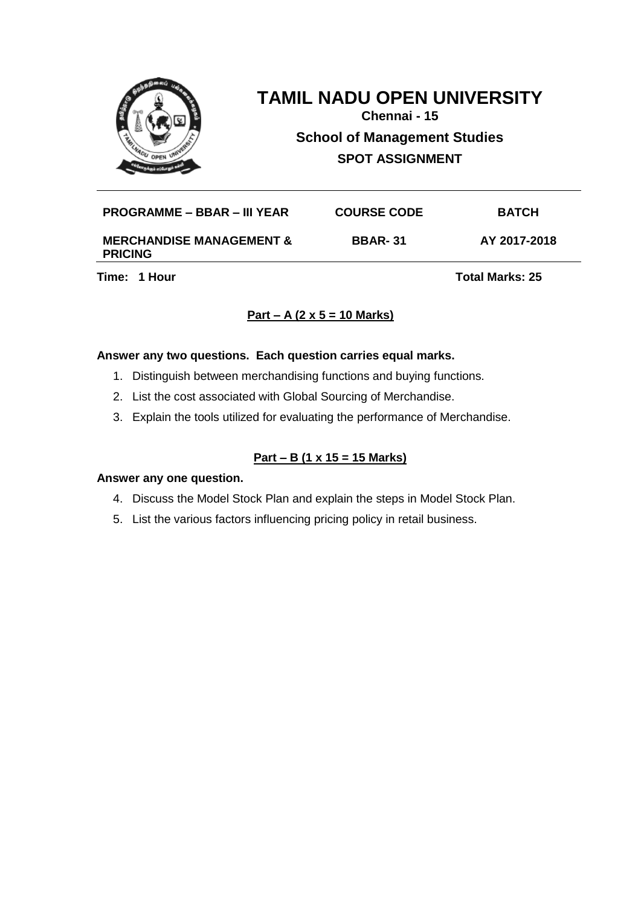

**Chennai - 15 School of Management Studies SPOT ASSIGNMENT**

| PROGRAMME – BBAR – III YEAR         | <b>COURSE CODE</b> | <b>BATCH</b> |
|-------------------------------------|--------------------|--------------|
| <b>MERCHANDISE MANAGEMENT &amp;</b> | <b>BBAR-31</b>     | AY 2017-2018 |

**PRICING**

**Time: 1 Hour Total Marks: 25** 

# **Part – A (2 x 5 = 10 Marks)**

### **Answer any two questions. Each question carries equal marks.**

- 1. Distinguish between merchandising functions and buying functions.
- 2. List the cost associated with Global Sourcing of Merchandise.
- 3. Explain the tools utilized for evaluating the performance of Merchandise.

# **Part – B (1 x 15 = 15 Marks)**

- 4. Discuss the Model Stock Plan and explain the steps in Model Stock Plan.
- 5. List the various factors influencing pricing policy in retail business.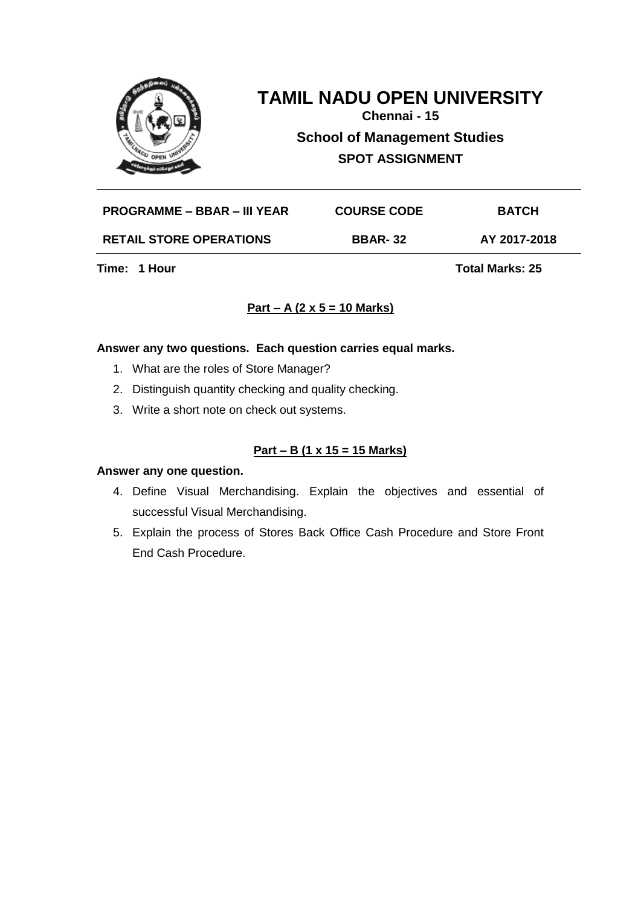

**Chennai - 15 School of Management Studies SPOT ASSIGNMENT**

| <b>PROGRAMME – BBAR – III YEAR</b> | <b>COURSE CODE</b> | <b>BATCH</b> |
|------------------------------------|--------------------|--------------|
| <b>RETAIL STORE OPERATIONS</b>     | <b>BBAR-32</b>     | AY 2017-2018 |

**Time: 1 Hour Total Marks: 25** 

# **Part – A (2 x 5 = 10 Marks)**

# **Answer any two questions. Each question carries equal marks.**

- 1. What are the roles of Store Manager?
- 2. Distinguish quantity checking and quality checking.
- 3. Write a short note on check out systems.

## **Part – B (1 x 15 = 15 Marks)**

- 4. Define Visual Merchandising. Explain the objectives and essential of successful Visual Merchandising.
- 5. Explain the process of Stores Back Office Cash Procedure and Store Front End Cash Procedure.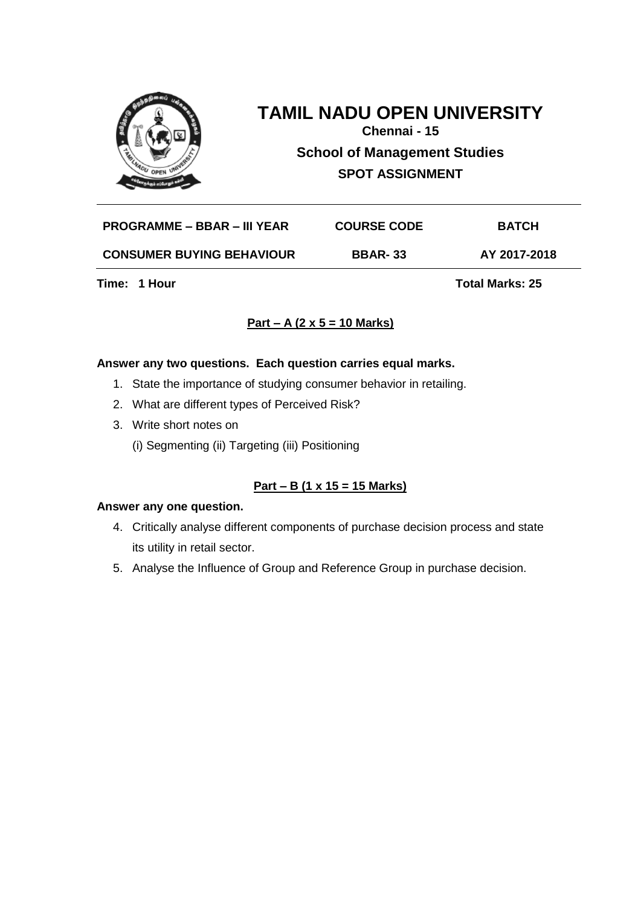

# **TAMIL NADU OPEN UNIVERSITY Chennai - 15**

**School of Management Studies SPOT ASSIGNMENT**

**PROGRAMME – BBAR – III YEAR COURSE CODE BATCH**

**CONSUMER BUYING BEHAVIOUR BBAR- 33 AY 2017-2018**

**Time: 1 Hour Total Marks: 25** 

# **Part – A (2 x 5 = 10 Marks)**

## **Answer any two questions. Each question carries equal marks.**

- 1. State the importance of studying consumer behavior in retailing.
- 2. What are different types of Perceived Risk?
- 3. Write short notes on
	- (i) Segmenting (ii) Targeting (iii) Positioning

# **Part – B (1 x 15 = 15 Marks)**

- 4. Critically analyse different components of purchase decision process and state its utility in retail sector.
- 5. Analyse the Influence of Group and Reference Group in purchase decision.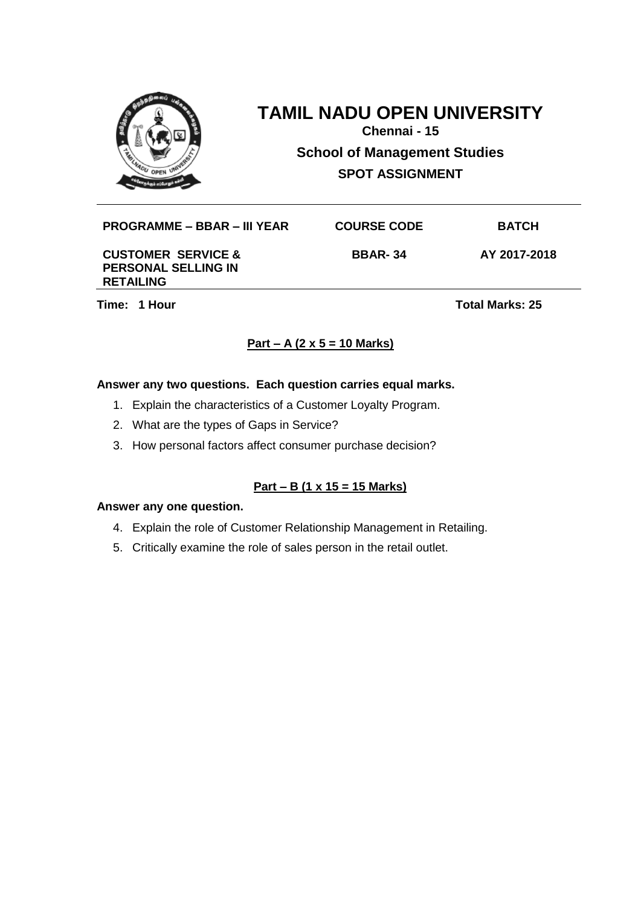

**Chennai - 15 School of Management Studies SPOT ASSIGNMENT**

## **PROGRAMME – BBAR – III YEAR COURSE CODE BATCH**

#### **CUSTOMER SERVICE & PERSONAL SELLING IN RETAILING**

**Time: 1 Hour Total Marks: 25** 

**BBAR- 34 AY 2017-2018**

# **Part – A (2 x 5 = 10 Marks)**

## **Answer any two questions. Each question carries equal marks.**

- 1. Explain the characteristics of a Customer Loyalty Program.
- 2. What are the types of Gaps in Service?
- 3. How personal factors affect consumer purchase decision?

# **Part – B (1 x 15 = 15 Marks)**

- 4. Explain the role of Customer Relationship Management in Retailing.
- 5. Critically examine the role of sales person in the retail outlet.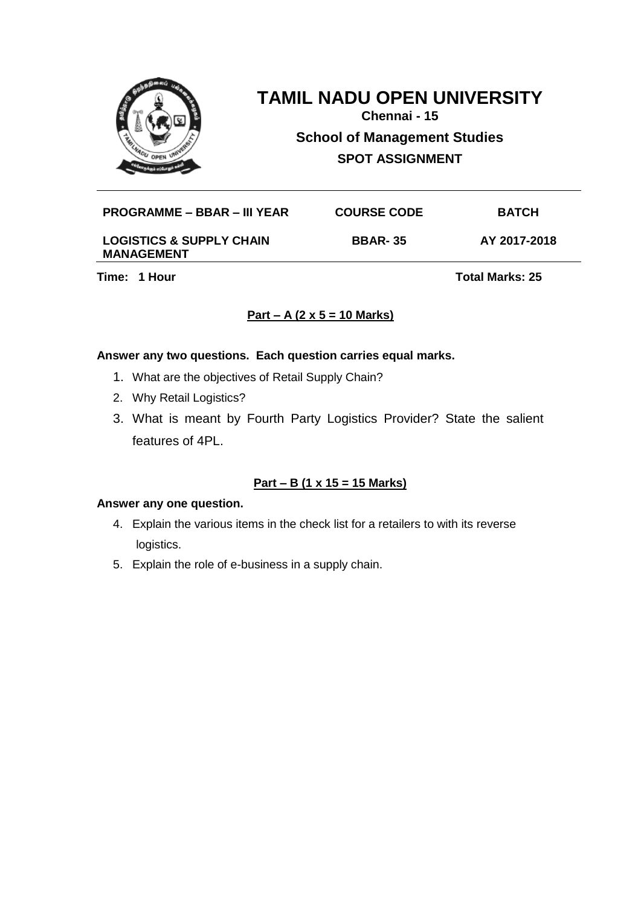

**Chennai - 15 School of Management Studies SPOT ASSIGNMENT**

#### **PROGRAMME – BBAR – III YEAR COURSE CODE BATCH**

#### **LOGISTICS & SUPPLY CHAIN MANAGEMENT**

**BBAR- 35 AY 2017-2018**

**Time: 1 Hour Total Marks: 25** 

# **Part – A (2 x 5 = 10 Marks)**

### **Answer any two questions. Each question carries equal marks.**

- 1. What are the objectives of Retail Supply Chain?
- 2. Why Retail Logistics?
- 3. What is meant by Fourth Party Logistics Provider? State the salient features of 4PL.

# **Part – B (1 x 15 = 15 Marks)**

- 4. Explain the various items in the check list for a retailers to with its reverse logistics.
- 5. Explain the role of e-business in a supply chain.